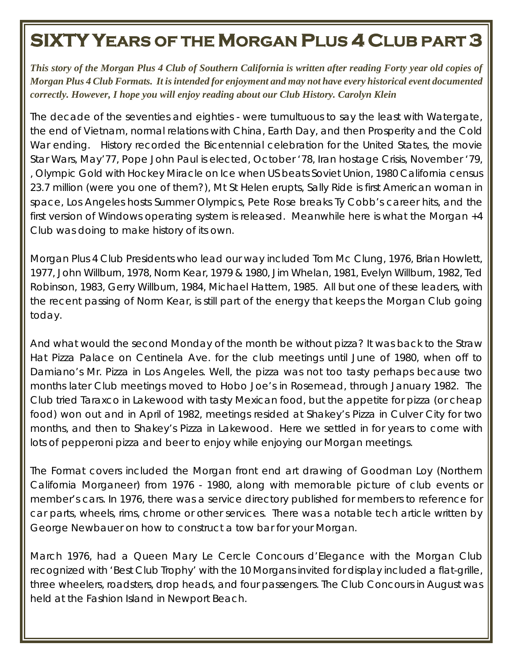## **SIXTY YEARS OF THE MORGAN PLUS 4 CLUB PART 3**

*This story of the Morgan Plus 4 Club of Southern California is written after reading Forty year old copies of Morgan Plus 4 Club Formats. It is intended for enjoyment and may not have every historical event documented correctly. However, I hope you will enjoy reading about our Club History. Carolyn Klein*

The decade of the seventies and eighties - were tumultuous to say the least with Watergate, the end of Vietnam, normal relations with China, Earth Day, and then Prosperity and the Cold War ending. History recorded the Bicentennial celebration for the United States, the movie Star Wars, May'77, Pope John Paul is elected, October '78, Iran hostage Crisis, November '79, , Olympic Gold with Hockey Miracle on Ice when US beats Soviet Union, 1980 California census 23.7 million (were you one of them?), Mt St Helen erupts, Sally Ride is first American woman in space, Los Angeles hosts Summer Olympics, Pete Rose breaks Ty Cobb's career hits, and the first version of Windows operating system is released. Meanwhile here is what the Morgan +4 Club was doing to make history of its own.

Morgan Plus 4 Club Presidents who lead our way included Tom Mc Clung, 1976, Brian Howlett, 1977, John Willburn, 1978, Norm Kear, 1979 & 1980, Jim Whelan, 1981, Evelyn Willburn, 1982, Ted Robinson, 1983, Gerry Willburn, 1984, Michael Hattem, 1985. All but one of these leaders, with the recent passing of Norm Kear, is still part of the energy that keeps the Morgan Club going today.

And what would the second Monday of the month be without pizza? It was back to the Straw Hat Pizza Palace on Centinela Ave. for the club meetings until June of 1980, when off to Damiano's Mr. Pizza in Los Angeles. Well, the pizza was not too tasty perhaps because two months later Club meetings moved to Hobo Joe's in Rosemead, through January 1982. The Club tried Taraxco in Lakewood with tasty Mexican food, but the appetite for pizza (or cheap food) won out and in April of 1982, meetings resided at Shakey's Pizza in Culver City for two months, and then to Shakey's Pizza in Lakewood. Here we settled in for years to come with lots of pepperoni pizza and beer to enjoy while enjoying our Morgan meetings.

The Format covers included the Morgan front end art drawing of Goodman Loy (Northern California Morganeer) from 1976 - 1980, along with memorable picture of club events or member's cars. In 1976, there was a service directory published for members to reference for car parts, wheels, rims, chrome or other services. There was a notable tech article written by George Newbauer on how to construct a tow bar for your Morgan.

March 1976, had a Queen Mary Le Cercle Concours d'Elegance with the Morgan Club recognized with 'Best Club Trophy' with the 10 Morgans invited for display included a flat-grille, three wheelers, roadsters, drop heads, and four passengers. The Club Concours in August was held at the Fashion Island in Newport Beach.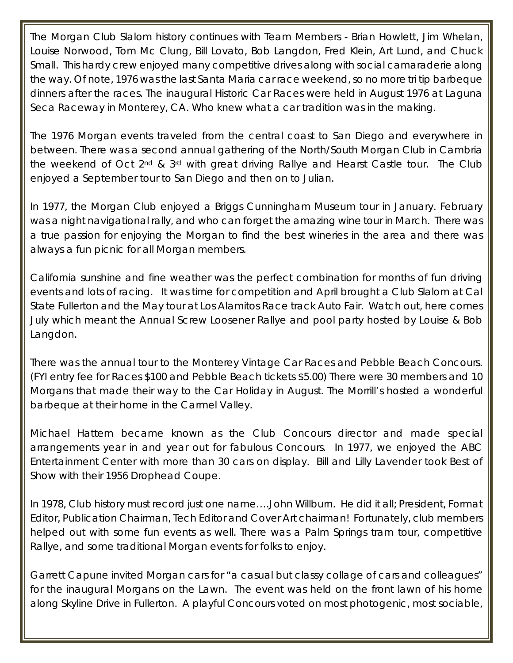The Morgan Club Slalom history continues with Team Members - Brian Howlett, Jim Whelan, Louise Norwood, Tom Mc Clung, Bill Lovato, Bob Langdon, Fred Klein, Art Lund, and Chuck Small. This hardy crew enjoyed many competitive drives along with social camaraderie along the way. Of note, 1976 was the last Santa Maria car race weekend, so no more tri tip barbeque dinners after the races. The inaugural Historic Car Races were held in August 1976 at Laguna Seca Raceway in Monterey, CA. Who knew what a car tradition was in the making.

The 1976 Morgan events traveled from the central coast to San Diego and everywhere in between. There was a second annual gathering of the North/South Morgan Club in Cambria the weekend of Oct 2<sup>nd</sup> & 3<sup>rd</sup> with great driving Rallye and Hearst Castle tour. The Club enjoyed a September tour to San Diego and then on to Julian.

In 1977, the Morgan Club enjoyed a Briggs Cunningham Museum tour in January. February was a night navigational rally, and who can forget the amazing wine tour in March. There was a true passion for enjoying the Morgan to find the best wineries in the area and there was always a fun picnic for all Morgan members.

California sunshine and fine weather was the perfect combination for months of fun driving events and lots of racing. It was time for competition and April brought a Club Slalom at Cal State Fullerton and the May tour at Los Alamitos Race track Auto Fair. Watch out, here comes July which meant the Annual Screw Loosener Rallye and pool party hosted by Louise & Bob Langdon.

There was the annual tour to the Monterey Vintage Car Races and Pebble Beach Concours. (FYI entry fee for Races \$100 and Pebble Beach tickets \$5.00) There were 30 members and 10 Morgans that made their way to the Car Holiday in August. The Morrill's hosted a wonderful barbeque at their home in the Carmel Valley.

Michael Hattem became known as the Club Concours director and made special arrangements year in and year out for fabulous Concours. In 1977, we enjoyed the ABC Entertainment Center with more than 30 cars on display. Bill and Lilly Lavender took Best of Show with their 1956 Drophead Coupe.

In 1978, Club history must record just one name….John Willburn. He did it all; President, Format Editor, Publication Chairman, Tech Editor and Cover Art chairman! Fortunately, club members helped out with some fun events as well. There was a Palm Springs tram tour, competitive Rallye, and some traditional Morgan events for folks to enjoy.

Garrett Capune invited Morgan cars for "a casual but classy collage of cars and colleagues" for the inaugural Morgans on the Lawn. The event was held on the front lawn of his home along Skyline Drive in Fullerton. A playful Concours voted on most photogenic, most sociable,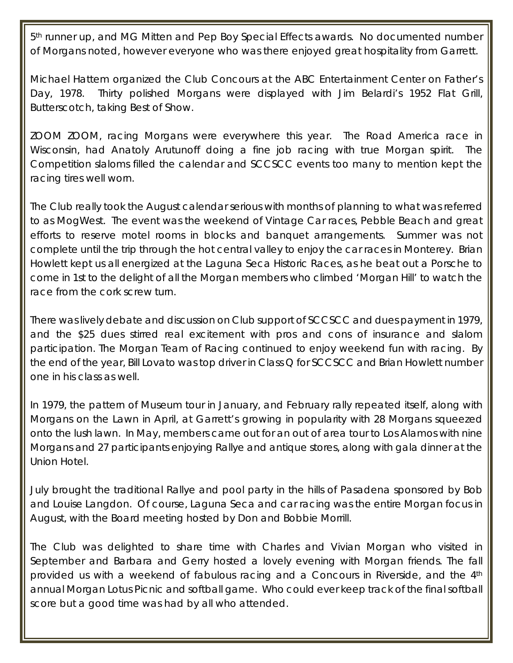5<sup>th</sup> runner up, and MG Mitten and Pep Boy Special Effects awards. No documented number of Morgans noted, however everyone who was there enjoyed great hospitality from Garrett.

Michael Hattem organized the Club Concours at the ABC Entertainment Center on Father's Day, 1978. Thirty polished Morgans were displayed with Jim Belardi's 1952 Flat Grill, Butterscotch, taking Best of Show.

ZOOM ZOOM, racing Morgans were everywhere this year. The Road America race in Wisconsin, had Anatoly Arutunoff doing a fine job racing with true Morgan spirit. The Competition slaloms filled the calendar and SCCSCC events too many to mention kept the racing tires well worn.

The Club really took the August calendar serious with months of planning to what was referred to as MogWest. The event was the weekend of Vintage Car races, Pebble Beach and great efforts to reserve motel rooms in blocks and banquet arrangements. Summer was not complete until the trip through the hot central valley to enjoy the car races in Monterey. Brian Howlett kept us all energized at the Laguna Seca Historic Races, as he beat out a Porsche to come in 1st to the delight of all the Morgan members who climbed 'Morgan Hill' to watch the race from the cork screw turn.

There was lively debate and discussion on Club support of SCCSCC and dues payment in 1979, and the \$25 dues stirred real excitement with pros and cons of insurance and slalom participation. The Morgan Team of Racing continued to enjoy weekend fun with racing. By the end of the year, Bill Lovato was top driver in Class Q for SCCSCC and Brian Howlett number one in his class as well.

In 1979, the pattern of Museum tour in January, and February rally repeated itself, along with Morgans on the Lawn in April, at Garrett's growing in popularity with 28 Morgans squeezed onto the lush lawn. In May, members came out for an out of area tour to Los Alamos with nine Morgans and 27 participants enjoying Rallye and antique stores, along with gala dinner at the Union Hotel.

July brought the traditional Rallye and pool party in the hills of Pasadena sponsored by Bob and Louise Langdon. Of course, Laguna Seca and car racing was the entire Morgan focus in August, with the Board meeting hosted by Don and Bobbie Morrill.

The Club was delighted to share time with Charles and Vivian Morgan who visited in September and Barbara and Gerry hosted a lovely evening with Morgan friends. The fall provided us with a weekend of fabulous racing and a Concours in Riverside, and the 4th annual Morgan Lotus Picnic and softball game. Who could ever keep track of the final softball score but a good time was had by all who attended.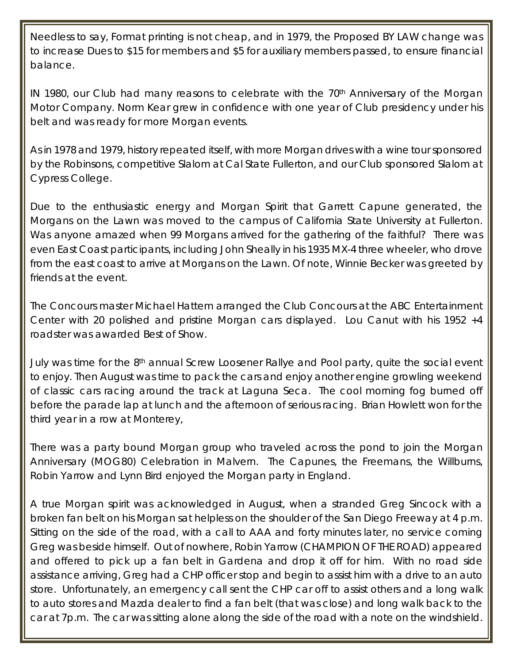Needless to say, Format printing is not cheap, and in 1979, the Proposed BY LAW change was to increase Dues to \$15 for members and \$5 for auxiliary members passed, to ensure financial balance.

IN 1980, our Club had many reasons to celebrate with the 70<sup>th</sup> Anniversary of the Morgan Motor Company. Norm Kear grew in confidence with one year of Club presidency under his belt and was ready for more Morgan events.

As in 1978 and 1979, history repeated itself, with more Morgan drives with a wine tour sponsored by the Robinsons, competitive Slalom at Cal State Fullerton, and our Club sponsored Slalom at Cypress College.

Due to the enthusiastic energy and Morgan Spirit that Garrett Capune generated, the Morgans on the Lawn was moved to the campus of California State University at Fullerton. Was anyone amazed when 99 Morgans arrived for the gathering of the faithful? There was even East Coast participants, including John Sheally in his 1935 MX-4 three wheeler, who drove from the east coast to arrive at Morgans on the Lawn. Of note, Winnie Becker was greeted by friends at the event.

The Concours master Michael Hattem arranged the Club Concours at the ABC Entertainment Center with 20 polished and pristine Morgan cars displayed. Lou Canut with his 1952 +4 roadster was awarded Best of Show.

July was time for the 8<sup>th</sup> annual Screw Loosener Rallye and Pool party, quite the social event to enjoy. Then August was time to pack the cars and enjoy another engine growling weekend of classic cars racing around the track at Laguna Seca. The cool morning fog burned off before the parade lap at lunch and the afternoon of serious racing. Brian Howlett won for the third year in a row at Monterey,

There was a party bound Morgan group who traveled across the pond to join the Morgan Anniversary (MOG80) Celebration in Malvern. The Capunes, the Freemans, the Willburns, Robin Yarrow and Lynn Bird enjoyed the Morgan party in England.

A true Morgan spirit was acknowledged in August, when a stranded Greg Sincock with a broken fan belt on his Morgan sat helpless on the shoulder of the San Diego Freeway at 4 p.m. Sitting on the side of the road, with a call to AAA and forty minutes later, no service coming Greg was beside himself. Out of nowhere, Robin Yarrow (CHAMPION OF THE ROAD) appeared and offered to pick up a fan belt in Gardena and drop it off for him. With no road side assistance arriving, Greg had a CHP officer stop and begin to assist him with a drive to an auto store. Unfortunately, an emergency call sent the CHP car off to assist others and a long walk to auto stores and Mazda dealer to find a fan belt (that was close) and long walk back to the car at 7p.m. The car was sitting alone along the side of the road with a note on the windshield.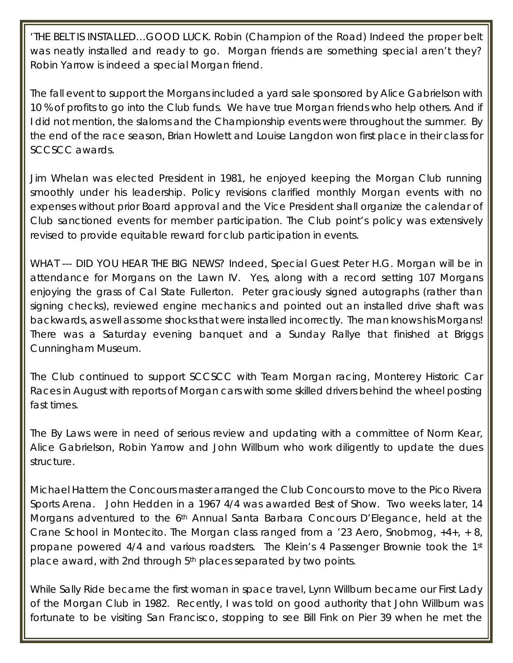'THE BELT IS INSTALLED…GOOD LUCK. Robin (Champion of the Road) Indeed the proper belt was neatly installed and ready to go. Morgan friends are something special aren't they? Robin Yarrow is indeed a special Morgan friend.

The fall event to support the Morgans included a yard sale sponsored by Alice Gabrielson with 10 % of profits to go into the Club funds. We have true Morgan friends who help others. And if I did not mention, the slaloms and the Championship events were throughout the summer. By the end of the race season, Brian Howlett and Louise Langdon won first place in their class for SCCSCC awards.

Jim Whelan was elected President in 1981, he enjoyed keeping the Morgan Club running smoothly under his leadership. Policy revisions clarified monthly Morgan events with no expenses without prior Board approval and the Vice President shall organize the calendar of Club sanctioned events for member participation. The Club point's policy was extensively revised to provide equitable reward for club participation in events.

WHAT --- DID YOU HEAR THE BIG NEWS? Indeed, Special Guest Peter H.G. Morgan will be in attendance for Morgans on the Lawn IV. Yes, along with a record setting 107 Morgans enjoying the grass of Cal State Fullerton. Peter graciously signed autographs (rather than signing checks), reviewed engine mechanics and pointed out an installed drive shaft was backwards, as well as some shocks that were installed incorrectly. The man knows his Morgans! There was a Saturday evening banquet and a Sunday Rallye that finished at Briggs Cunningham Museum.

The Club continued to support SCCSCC with Team Morgan racing, Monterey Historic Car Races in August with reports of Morgan cars with some skilled drivers behind the wheel posting fast times.

The By Laws were in need of serious review and updating with a committee of Norm Kear, Alice Gabrielson, Robin Yarrow and John Willburn who work diligently to update the dues structure.

Michael Hattem the Concours master arranged the Club Concours to move to the Pico Rivera Sports Arena. John Hedden in a 1967 4/4 was awarded Best of Show. Two weeks later, 14 Morgans adventured to the 6<sup>th</sup> Annual Santa Barbara Concours D'Elegance, held at the Crane School in Montecito. The Morgan class ranged from a '23 Aero, Snobmog, +4+, + 8, propane powered 4/4 and various roadsters. The Klein's 4 Passenger Brownie took the 1st place award, with 2nd through 5th places separated by two points.

While Sally Ride became the first woman in space travel, Lynn Willburn became our First Lady of the Morgan Club in 1982. Recently, I was told on good authority that John Willburn was fortunate to be visiting San Francisco, stopping to see Bill Fink on Pier 39 when he met the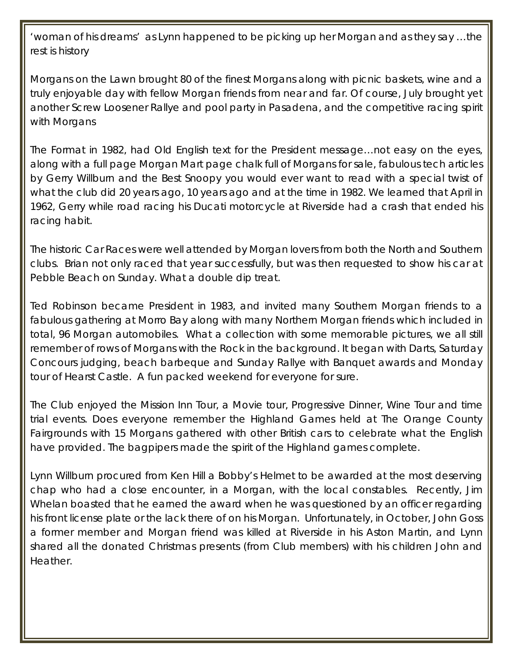'woman of his dreams' as Lynn happened to be picking up her Morgan and as they say …the rest is history

Morgans on the Lawn brought 80 of the finest Morgans along with picnic baskets, wine and a truly enjoyable day with fellow Morgan friends from near and far. Of course, July brought yet another Screw Loosener Rallye and pool party in Pasadena, and the competitive racing spirit with Morgans

The Format in 1982, had Old English text for the President message…not easy on the eyes, along with a full page Morgan Mart page chalk full of Morgans for sale, fabulous tech articles by Gerry Willburn and the Best Snoopy you would ever want to read with a special twist of what the club did 20 years ago, 10 years ago and at the time in 1982. We learned that April in 1962, Gerry while road racing his Ducati motorcycle at Riverside had a crash that ended his racing habit.

The historic Car Races were well attended by Morgan lovers from both the North and Southern clubs. Brian not only raced that year successfully, but was then requested to show his car at Pebble Beach on Sunday. What a double dip treat.

Ted Robinson became President in 1983, and invited many Southern Morgan friends to a fabulous gathering at Morro Bay along with many Northern Morgan friends which included in total, 96 Morgan automobiles. What a collection with some memorable pictures, we all still remember of rows of Morgans with the Rock in the background. It began with Darts, Saturday Concours judging, beach barbeque and Sunday Rallye with Banquet awards and Monday tour of Hearst Castle. A fun packed weekend for everyone for sure.

The Club enjoyed the Mission Inn Tour, a Movie tour, Progressive Dinner, Wine Tour and time trial events. Does everyone remember the Highland Games held at The Orange County Fairgrounds with 15 Morgans gathered with other British cars to celebrate what the English have provided. The bagpipers made the spirit of the Highland games complete.

Lynn Willburn procured from Ken Hill a Bobby's Helmet to be awarded at the most deserving chap who had a close encounter, in a Morgan, with the local constables. Recently, Jim Whelan boasted that he earned the award when he was questioned by an officer regarding his front license plate or the lack there of on his Morgan. Unfortunately, in October, John Goss a former me*m*ber and Morgan friend was killed at Riverside in his Aston Martin, and Lynn shared all the donated Christmas presents (from Club members) with his children John and Heather.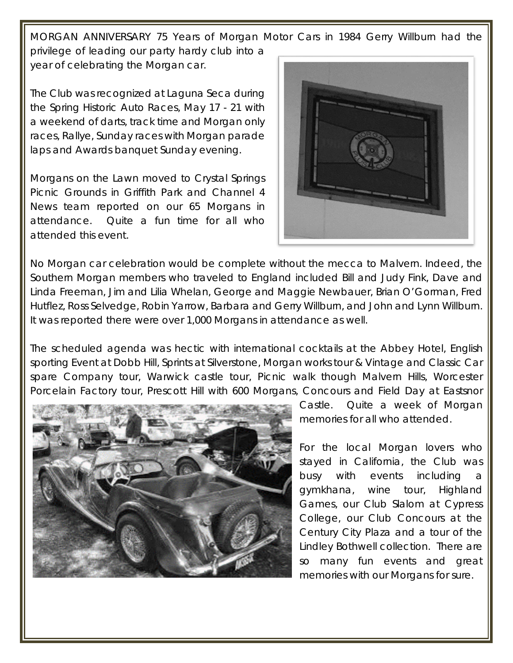MORGAN ANNIVERSARY 75 Years of Morgan Motor Cars in 1984 Gerry Willburn had the privilege of leading our party hardy club into a year of celebrating the Morgan car.

The Club was recognized at Laguna Seca during the Spring Historic Auto Races, May 17 - 21 with a weekend of darts, track time and Morgan only races, Rallye, Sunday races with Morgan parade laps and Awards banquet Sunday evening.

Morgans on the Lawn moved to Crystal Springs Picnic Grounds in Griffith Park and Channel 4 News team reported on our 65 Morgans in attendance. Quite a fun time for all who attended this event.



No Morgan car celebration would be complete without the mecca to Malvern. Indeed, the Southern Morgan members who traveled to England included Bill and Judy Fink, Dave and Linda Freeman, Jim and Lilia Whelan, George and Maggie Newbauer, Brian O'Gorman, Fred Hutflez, Ross Selvedge, Robin Yarrow, Barbara and Gerry Willburn, and John and Lynn Willburn. It was reported there were over 1,000 Morgans in attendance as well.

The scheduled agenda was hectic with international cocktails at the Abbey Hotel, English sporting Event at Dobb Hill, Sprints at Silverstone, Morgan works tour & Vintage and Classic Car spare Company tour, Warwick castle tour, Picnic walk though Malvern Hills, Worcester Porcelain Factory tour, Prescott Hill with 600 Morgans, Concours and Field Day at Eastsnor



Castle. Quite a week of Morgan memories for all who attended.

For the local Morgan lovers who stayed in California, the Club was busy with events including a gymkhana, wine tour, Highland Games, our Club Slalom at Cypress College, our Club Concours at the Century City Plaza and a tour of the Lindley Bothwell collection. There are so many fun events and great memories with our Morgans for sure.